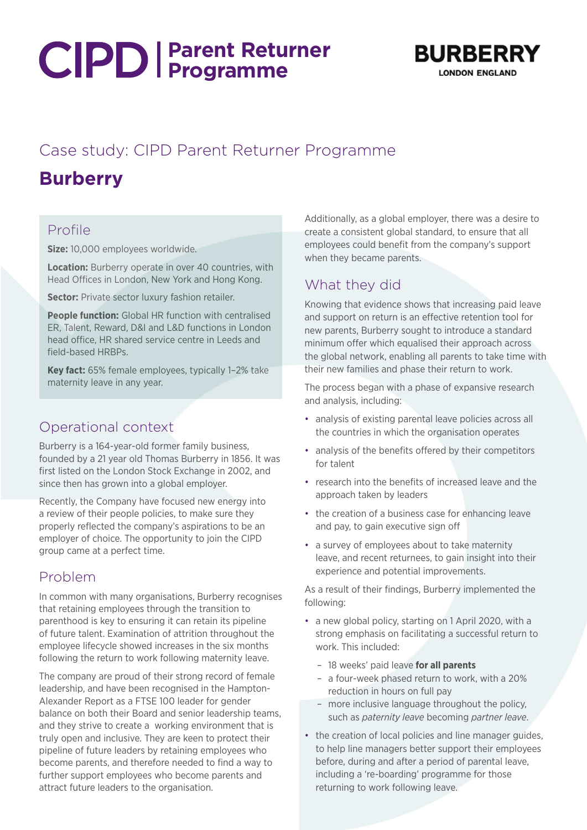# **Parent Returner Programme**



## Case study: CIPD Parent Returner Programme **Burberry**

#### Profile

**Size:** 10,000 employees worldwide.

**Location:** Burberry operate in over 40 countries, with Head Offices in London, New York and Hong Kong.

**Sector:** Private sector luxury fashion retailer.

**People function:** Global HR function with centralised ER, Talent, Reward, D&I and L&D functions in London head office, HR shared service centre in Leeds and field-based HRBPs.

**Key fact:** 65% female employees, typically 1–2% take maternity leave in any year.

## Operational context

Burberry is a 164-year-old former family business, founded by a 21 year old Thomas Burberry in 1856. It was first listed on the London Stock Exchange in 2002, and since then has grown into a global employer.

Recently, the Company have focused new energy into a review of their people policies, to make sure they properly reflected the company's aspirations to be an employer of choice. The opportunity to join the CIPD group came at a perfect time.

#### Problem

In common with many organisations, Burberry recognises that retaining employees through the transition to parenthood is key to ensuring it can retain its pipeline of future talent. Examination of attrition throughout the employee lifecycle showed increases in the six months following the return to work following maternity leave.

The company are proud of their strong record of female leadership, and have been recognised in the Hampton-Alexander Report as a FTSE 100 leader for gender balance on both their Board and senior leadership teams, and they strive to create a working environment that is truly open and inclusive. They are keen to protect their pipeline of future leaders by retaining employees who become parents, and therefore needed to find a way to further support employees who become parents and attract future leaders to the organisation.

Additionally, as a global employer, there was a desire to create a consistent global standard, to ensure that all employees could benefit from the company's support when they became parents.

### What they did

Knowing that evidence shows that increasing paid leave and support on return is an effective retention tool for new parents, Burberry sought to introduce a standard minimum offer which equalised their approach across the global network, enabling all parents to take time with their new families and phase their return to work.

The process began with a phase of expansive research and analysis, including:

- analysis of existing parental leave policies across all the countries in which the organisation operates
- analysis of the benefits offered by their competitors for talent
- research into the benefits of increased leave and the approach taken by leaders
- the creation of a business case for enhancing leave and pay, to gain executive sign off
- a survey of employees about to take maternity leave, and recent returnees, to gain insight into their experience and potential improvements.

As a result of their findings, Burberry implemented the following:

- a new global policy, starting on 1 April 2020, with a strong emphasis on facilitating a successful return to work. This included:
	- 18 weeks' paid leave **for all parents**
	- a four-week phased return to work, with a 20% reduction in hours on full pay
	- more inclusive language throughout the policy, such as *paternity leave* becoming *partner leave*.
- the creation of local policies and line manager guides, to help line managers better support their employees before, during and after a period of parental leave, including a 're-boarding' programme for those returning to work following leave.